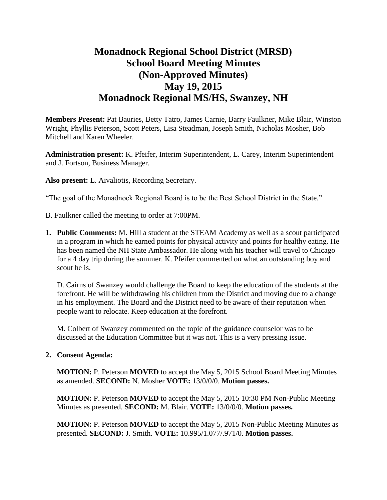# **Monadnock Regional School District (MRSD) School Board Meeting Minutes (Non-Approved Minutes) May 19, 2015 Monadnock Regional MS/HS, Swanzey, NH**

**Members Present:** Pat Bauries, Betty Tatro, James Carnie, Barry Faulkner, Mike Blair, Winston Wright, Phyllis Peterson, Scott Peters, Lisa Steadman, Joseph Smith, Nicholas Mosher, Bob Mitchell and Karen Wheeler.

**Administration present:** K. Pfeifer, Interim Superintendent, L. Carey, Interim Superintendent and J. Fortson, Business Manager.

**Also present:** L. Aivaliotis, Recording Secretary.

"The goal of the Monadnock Regional Board is to be the Best School District in the State."

- B. Faulkner called the meeting to order at 7:00PM.
- **1. Public Comments:** M. Hill a student at the STEAM Academy as well as a scout participated in a program in which he earned points for physical activity and points for healthy eating. He has been named the NH State Ambassador. He along with his teacher will travel to Chicago for a 4 day trip during the summer. K. Pfeifer commented on what an outstanding boy and scout he is.

D. Cairns of Swanzey would challenge the Board to keep the education of the students at the forefront. He will be withdrawing his children from the District and moving due to a change in his employment. The Board and the District need to be aware of their reputation when people want to relocate. Keep education at the forefront.

M. Colbert of Swanzey commented on the topic of the guidance counselor was to be discussed at the Education Committee but it was not. This is a very pressing issue.

## **2. Consent Agenda:**

**MOTION:** P. Peterson **MOVED** to accept the May 5, 2015 School Board Meeting Minutes as amended. **SECOND:** N. Mosher **VOTE:** 13/0/0/0. **Motion passes.** 

**MOTION:** P. Peterson **MOVED** to accept the May 5, 2015 10:30 PM Non-Public Meeting Minutes as presented. **SECOND:** M. Blair. **VOTE:** 13/0/0/0. **Motion passes.** 

**MOTION:** P. Peterson **MOVED** to accept the May 5, 2015 Non-Public Meeting Minutes as presented. **SECOND:** J. Smith. **VOTE:** 10.995/1.077/.971/0. **Motion passes.**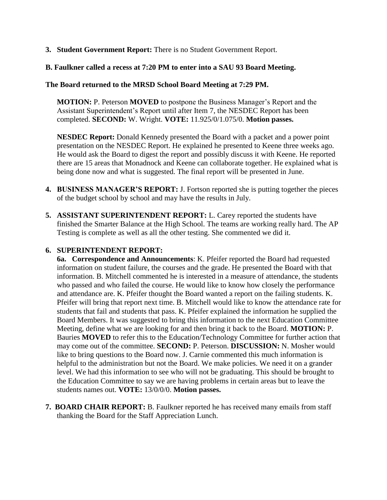**3. Student Government Report:** There is no Student Government Report.

# **B. Faulkner called a recess at 7:20 PM to enter into a SAU 93 Board Meeting.**

## **The Board returned to the MRSD School Board Meeting at 7:29 PM.**

**MOTION:** P. Peterson **MOVED** to postpone the Business Manager's Report and the Assistant Superintendent's Report until after Item 7, the NESDEC Report has been completed. **SECOND:** W. Wright. **VOTE:** 11.925/0/1.075/0. **Motion passes.** 

**NESDEC Report:** Donald Kennedy presented the Board with a packet and a power point presentation on the NESDEC Report. He explained he presented to Keene three weeks ago. He would ask the Board to digest the report and possibly discuss it with Keene. He reported there are 15 areas that Monadnock and Keene can collaborate together. He explained what is being done now and what is suggested. The final report will be presented in June.

- **4. BUSINESS MANAGER'S REPORT:** J. Fortson reported she is putting together the pieces of the budget school by school and may have the results in July.
- **5. ASSISTANT SUPERINTENDENT REPORT:** L. Carey reported the students have finished the Smarter Balance at the High School. The teams are working really hard. The AP Testing is complete as well as all the other testing. She commented we did it.

## **6. SUPERINTENDENT REPORT:**

**6a. Correspondence and Announcements**: K. Pfeifer reported the Board had requested information on student failure, the courses and the grade. He presented the Board with that information. B. Mitchell commented he is interested in a measure of attendance, the students who passed and who failed the course. He would like to know how closely the performance and attendance are. K. Pfeifer thought the Board wanted a report on the failing students. K. Pfeifer will bring that report next time. B. Mitchell would like to know the attendance rate for students that fail and students that pass. K. Pfeifer explained the information he supplied the Board Members. It was suggested to bring this information to the next Education Committee Meeting, define what we are looking for and then bring it back to the Board. **MOTION:** P. Bauries **MOVED** to refer this to the Education/Technology Committee for further action that may come out of the committee. **SECOND:** P. Peterson. **DISCUSSION:** N. Mosher would like to bring questions to the Board now. J. Carnie commented this much information is helpful to the administration but not the Board. We make policies. We need it on a grander level. We had this information to see who will not be graduating. This should be brought to the Education Committee to say we are having problems in certain areas but to leave the students names out. **VOTE:** 13/0/0/0. **Motion passes.** 

**7. BOARD CHAIR REPORT:** B. Faulkner reported he has received many emails from staff thanking the Board for the Staff Appreciation Lunch.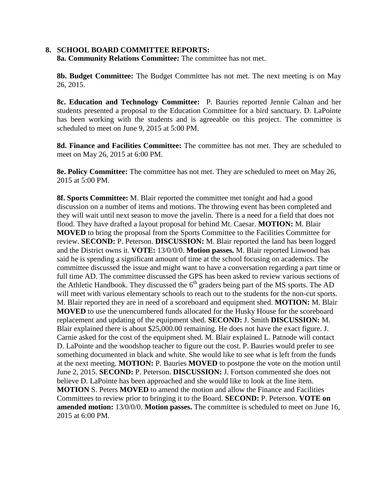#### **8. SCHOOL BOARD COMMITTEE REPORTS:**

**8a. Community Relations Committee:** The committee has not met.

**8b. Budget Committee:** The Budget Committee has not met. The next meeting is on May 26, 2015.

 **8c. Education and Technology Committee:** P. Bauries reported Jennie Calnan and her students presented a proposal to the Education Committee for a bird sanctuary. D. LaPointe has been working with the students and is agreeable on this project. The committee is scheduled to meet on June 9, 2015 at 5:00 PM.

 **8d. Finance and Facilities Committee:** The committee has not met. They are scheduled to meet on May 26, 2015 at 6:00 PM.

**8e. Policy Committee:** The committee has not met. They are scheduled to meet on May 26, 2015 at 5:00 PM.

 **8f. Sports Committee:** M. Blair reported the committee met tonight and had a good discussion on a number of items and motions. The throwing event has been completed and they will wait until next season to move the javelin. There is a need for a field that does not flood. They have drafted a layout proposal for behind Mt. Caesar. **MOTION:** M. Blair **MOVED** to bring the proposal from the Sports Committee to the Facilities Committee for review. **SECOND:** P. Peterson. **DISCUSSION:** M. Blair reported the land has been logged and the District owns it. **VOTE:** 13/0/0/0. **Motion passes.** M. Blair reported Linwood has said he is spending a significant amount of time at the school focusing on academics. The committee discussed the issue and might want to have a conversation regarding a part time or full time AD. The committee discussed the GPS has been asked to review various sections of the Athletic Handbook. They discussed the  $6<sup>th</sup>$  graders being part of the MS sports. The AD will meet with various elementary schools to reach out to the students for the non-cut sports. M. Blair reported they are in need of a scoreboard and equipment shed. **MOTION:** M. Blair **MOVED** to use the unencumbered funds allocated for the Husky House for the scoreboard replacement and updating of the equipment shed. **SECOND:** J. Smith **DISCUSSION:** M. Blair explained there is about \$25,000.00 remaining. He does not have the exact figure. J. Carnie asked for the cost of the equipment shed. M. Blair explained L. Patnode will contact D. LaPointe and the woodshop teacher to figure out the cost. P. Bauries would prefer to see something documented in black and white. She would like to see what is left from the funds at the next meeting. **MOTION:** P. Bauries **MOVED** to postpone the vote on the motion until June 2, 2015. **SECOND:** P. Peterson. **DISCUSSION:** J. Fortson commented she does not believe D. LaPointe has been approached and she would like to look at the line item. **MOTION** S. Peters **MOVED** to amend the motion and allow the Finance and Facilities Committees to review prior to bringing it to the Board. **SECOND:** P. Peterson. **VOTE on amended motion:** 13/0/0/0. **Motion passes.** The committee is scheduled to meet on June 16, 2015 at 6:00 PM.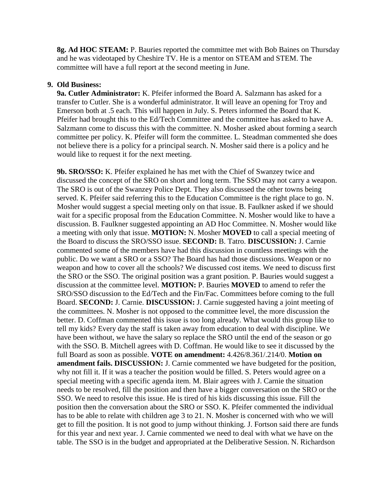**8g. Ad HOC STEAM:** P. Bauries reported the committee met with Bob Baines on Thursday and he was videotaped by Cheshire TV. He is a mentor on STEAM and STEM. The committee will have a full report at the second meeting in June.

## **9. Old Business:**

 **9a. Cutler Administrator:** K. Pfeifer informed the Board A. Salzmann has asked for a transfer to Cutler. She is a wonderful administrator. It will leave an opening for Troy and Emerson both at .5 each. This will happen in July. S. Peters informed the Board that K. Pfeifer had brought this to the Ed/Tech Committee and the committee has asked to have A. Salzmann come to discuss this with the committee. N. Mosher asked about forming a search committee per policy. K. Pfeifer will form the committee. L. Steadman commented she does not believe there is a policy for a principal search. N. Mosher said there is a policy and he would like to request it for the next meeting.

**9b. SRO/SSO:** K. Pfeifer explained he has met with the Chief of Swanzey twice and discussed the concept of the SRO on short and long term. The SSO may not carry a weapon. The SRO is out of the Swanzey Police Dept. They also discussed the other towns being served. K. Pfeifer said referring this to the Education Committee is the right place to go. N. Mosher would suggest a special meeting only on that issue. B. Faulkner asked if we should wait for a specific proposal from the Education Committee. N. Mosher would like to have a discussion. B. Faulkner suggested appointing an AD Hoc Committee. N. Mosher would like a meeting with only that issue. **MOTION:** N. Mosher **MOVED** to call a special meeting of the Board to discuss the SRO/SSO issue. **SECOND:** B. Tatro. **DISCUSSION:** J. Carnie commented some of the members have had this discussion in countless meetings with the public. Do we want a SRO or a SSO? The Board has had those discussions. Weapon or no weapon and how to cover all the schools? We discussed cost items. We need to discuss first the SRO or the SSO. The original position was a grant position. P. Bauries would suggest a discussion at the committee level. **MOTION:** P. Bauries **MOVED** to amend to refer the SRO/SSO discussion to the Ed/Tech and the Fin/Fac. Committees before coming to the full Board. **SECOND:** J. Carnie. **DISCUSSION:** J. Carnie suggested having a joint meeting of the committees. N. Mosher is not opposed to the committee level, the more discussion the better. D. Coffman commented this issue is too long already. What would this group like to tell my kids? Every day the staff is taken away from education to deal with discipline. We have been without, we have the salary so replace the SRO until the end of the season or go with the SSO. B. Mitchell agrees with D. Coffman. He would like to see it discussed by the full Board as soon as possible. **VOTE on amendment:** 4.426/8.361/.214/0. **Motion on amendment fails. DISCUSSION:** J. Carnie commented we have budgeted for the position, why not fill it. If it was a teacher the position would be filled. S. Peters would agree on a special meeting with a specific agenda item. M. Blair agrees with J. Carnie the situation needs to be resolved, fill the position and then have a bigger conversation on the SRO or the SSO. We need to resolve this issue. He is tired of his kids discussing this issue. Fill the position then the conversation about the SRO or SSO. K. Pfeifer commented the individual has to be able to relate with children age 3 to 21. N. Mosher is concerned with who we will get to fill the position. It is not good to jump without thinking. J. Fortson said there are funds for this year and next year. J. Carnie commented we need to deal with what we have on the table. The SSO is in the budget and appropriated at the Deliberative Session. N. Richardson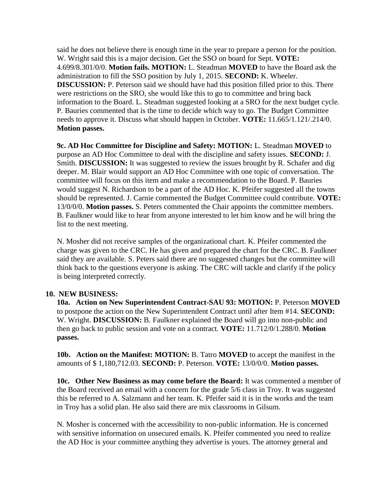said he does not believe there is enough time in the year to prepare a person for the position. W. Wright said this is a major decision. Get the SSO on board for Sept. **VOTE:**  4.699/8.301/0/0. **Motion fails. MOTION:** L. Steadman **MOVED** to have the Board ask the administration to fill the SSO position by July 1, 2015. **SECOND:** K. Wheeler. **DISCUSSION:** P. Peterson said we should have had this position filled prior to this. There were restrictions on the SRO, she would like this to go to committee and bring back information to the Board. L. Steadman suggested looking at a SRO for the next budget cycle. P. Bauries commented that is the time to decide which way to go. The Budget Committee needs to approve it. Discuss what should happen in October. **VOTE:** 11.665/1.121/.214/0. **Motion passes.** 

**9c. AD Hoc Committee for Discipline and Safety: MOTION:** L. Steadman **MOVED** to purpose an AD Hoc Committee to deal with the discipline and safety issues. **SECOND:** J. Smith. **DISCUSSION:** It was suggested to review the issues brought by R. Schafer and dig deeper. M. Blair would support an AD Hoc Committee with one topic of conversation. The committee will focus on this item and make a recommendation to the Board. P. Bauries would suggest N. Richardson to be a part of the AD Hoc. K. Pfeifer suggested all the towns should be represented. J. Carnie commented the Budget Committee could contribute. **VOTE:**  13/0/0/0. **Motion passes.** S. Peters commented the Chair appoints the committee members. B. Faulkner would like to hear from anyone interested to let him know and he will bring the list to the next meeting.

N. Mosher did not receive samples of the organizational chart. K. Pfeifer commented the charge was given to the CRC. He has given and prepared the chart for the CRC. B. Faulkner said they are available. S. Peters said there are no suggested changes but the committee will think back to the questions everyone is asking. The CRC will tackle and clarify if the policy is being interpreted correctly.

## **10. NEW BUSINESS:**

**10a. Action on New Superintendent Contract-SAU 93: MOTION:** P. Peterson **MOVED**  to postpone the action on the New Superintendent Contract until after Item #14. **SECOND:**  W. Wright. **DISCUSSION:** B. Faulkner explained the Board will go into non-public and then go back to public session and vote on a contract. **VOTE:** 11.712/0/1.288/0. **Motion passes.** 

**10b. Action on the Manifest: MOTION:** B. Tatro **MOVED** to accept the manifest in the amounts of \$ 1,180,712.03. **SECOND:** P. Peterson. **VOTE:** 13/0/0/0. **Motion passes.** 

**10c. Other New Business as may come before the Board:** It was commented a member of the Board received an email with a concern for the grade 5/6 class in Troy. It was suggested this be referred to A. Salzmann and her team. K. Pfeifer said it is in the works and the team in Troy has a solid plan. He also said there are mix classrooms in Gilsum.

N. Mosher is concerned with the accessibility to non-public information. He is concerned with sensitive information on unsecured emails. K. Pfeifer commented you need to realize the AD Hoc is your committee anything they advertise is yours. The attorney general and